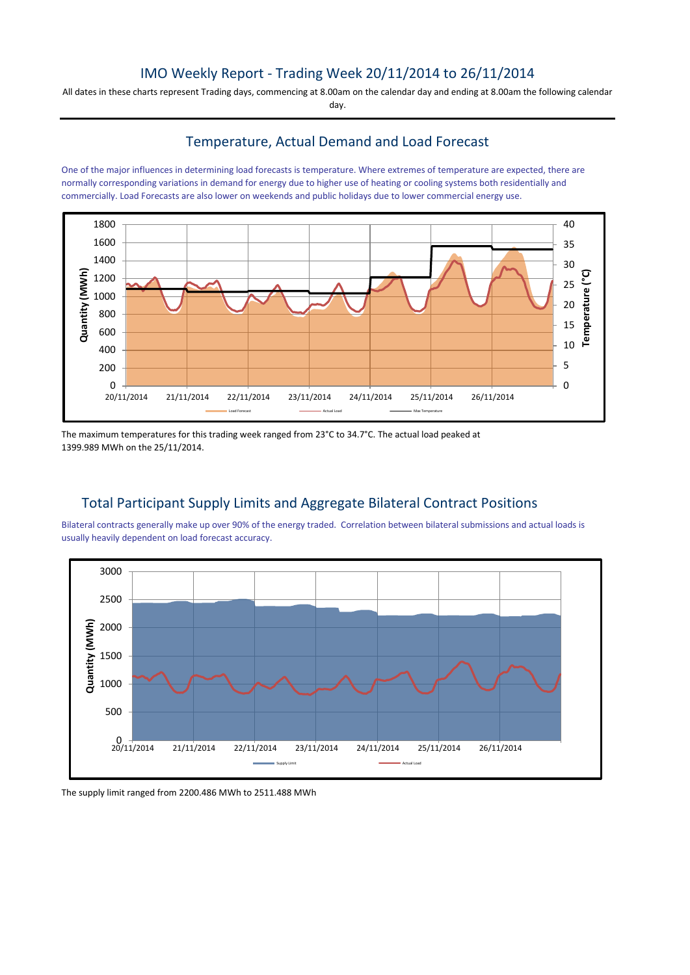# IMO Weekly Report - Trading Week 20/11/2014 to 26/11/2014

All dates in these charts represent Trading days, commencing at 8.00am on the calendar day and ending at 8.00am the following calendar day.

## Temperature, Actual Demand and Load Forecast

One of the major influences in determining load forecasts is temperature. Where extremes of temperature are expected, there are normally corresponding variations in demand for energy due to higher use of heating or cooling systems both residentially and commercially. Load Forecasts are also lower on weekends and public holidays due to lower commercial energy use.



The maximum temperatures for this trading week ranged from 23°C to 34.7°C. The actual load peaked at 1399.989 MWh on the 25/11/2014.

# Total Participant Supply Limits and Aggregate Bilateral Contract Positions

Bilateral contracts generally make up over 90% of the energy traded. Correlation between bilateral submissions and actual loads is usually heavily dependent on load forecast accuracy.



The supply limit ranged from 2200.486 MWh to 2511.488 MWh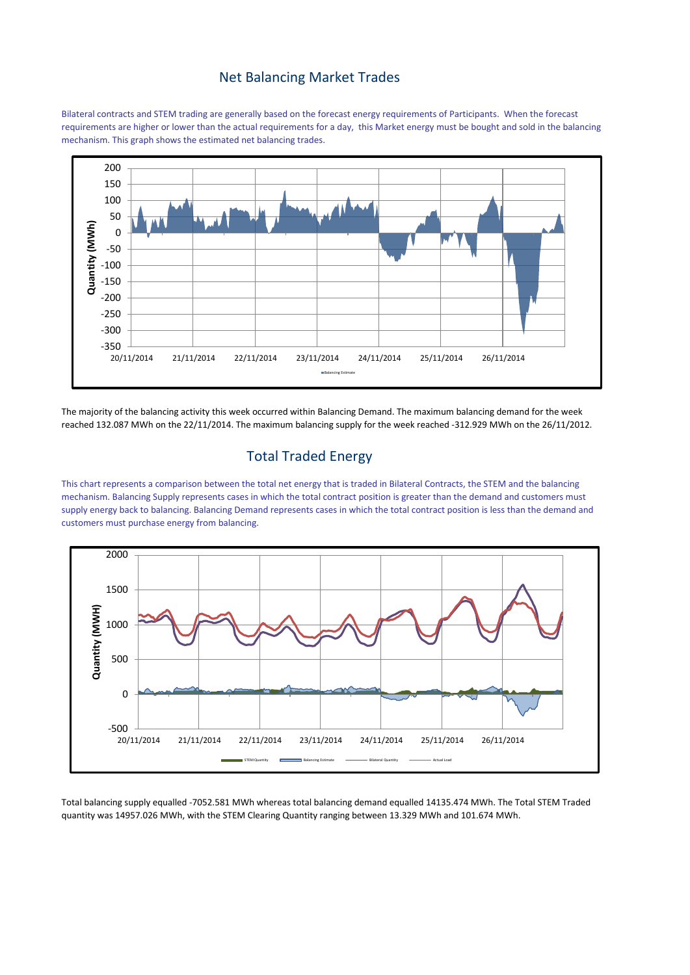#### Net Balancing Market Trades

Bilateral contracts and STEM trading are generally based on the forecast energy requirements of Participants. When the forecast requirements are higher or lower than the actual requirements for a day, this Market energy must be bought and sold in the balancing mechanism. This graph shows the estimated net balancing trades.



The majority of the balancing activity this week occurred within Balancing Demand. The maximum balancing demand for the week reached 132.087 MWh on the 22/11/2014. The maximum balancing supply for the week reached -312.929 MWh on the 26/11/2012.

## Total Traded Energy

This chart represents a comparison between the total net energy that is traded in Bilateral Contracts, the STEM and the balancing mechanism. Balancing Supply represents cases in which the total contract position is greater than the demand and customers must supply energy back to balancing. Balancing Demand represents cases in which the total contract position is less than the demand and customers must purchase energy from balancing.



Total balancing supply equalled -7052.581 MWh whereas total balancing demand equalled 14135.474 MWh. The Total STEM Traded quantity was 14957.026 MWh, with the STEM Clearing Quantity ranging between 13.329 MWh and 101.674 MWh.